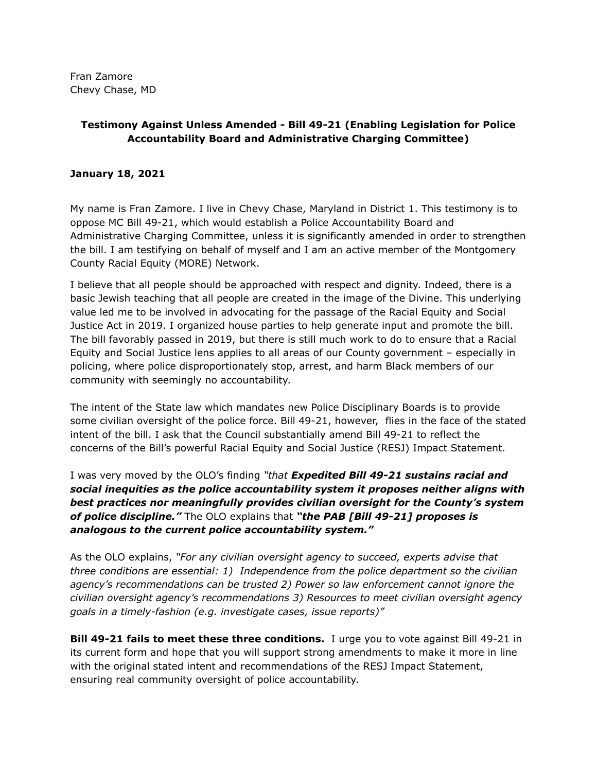Fran Zamore Chevy Chase, MD

## **Testimony Against Unless Amended - Bill 49-21 (Enabling Legislation for Police Accountability Board and Administrative Charging Committee)**

## **January 18, 2021**

My name is Fran Zamore. I live in Chevy Chase, Maryland in District 1. This testimony is to oppose MC Bill 49-21, which would establish a Police Accountability Board and Administrative Charging Committee, unless it is significantly amended in order to strengthen the bill. I am testifying on behalf of myself and I am an active member of the Montgomery County Racial Equity (MORE) Network.

I believe that all people should be approached with respect and dignity. Indeed, there is a basic Jewish teaching that all people are created in the image of the Divine. This underlying value led me to be involved in advocating for the passage of the Racial Equity and Social Justice Act in 2019. I organized house parties to help generate input and promote the bill. The bill favorably passed in 2019, but there is still much work to do to ensure that a Racial Equity and Social Justice lens applies to all areas of our County government – especially in policing, where police disproportionately stop, arrest, and harm Black members of our community with seemingly no accountability.

The intent of the State law which mandates new Police Disciplinary Boards is to provide some civilian oversight of the police force. Bill 49-21, however, flies in the face of the stated intent of the bill. I ask that the Council substantially amend Bill 49-21 to reflect the concerns of the Bill's powerful Racial Equity and Social Justice (RESJ) Impact Statement.

I was very moved by the OLO's finding *"that Expedited Bill 49-21 sustains racial and social inequities as the police accountability system it proposes neither aligns with best practices nor meaningfully provides civilian oversight for the County's system of police discipline."* The OLO explains that *"the PAB [Bill 49-21] proposes is analogous to the current police accountability system."*

As the OLO explains, *"For any civilian oversight agency to succeed, experts advise that three conditions are essential: 1) Independence from the police department so the civilian agency's recommendations can be trusted 2) Power so law enforcement cannot ignore the civilian oversight agency's recommendations 3) Resources to meet civilian oversight agency goals in a timely-fashion (e.g. investigate cases, issue reports)"*

**Bill 49-21 fails to meet these three conditions.** I urge you to vote against Bill 49-21 in its current form and hope that you will support strong amendments to make it more in line with the original stated intent and recommendations of the RESJ Impact Statement, ensuring real community oversight of police accountability.